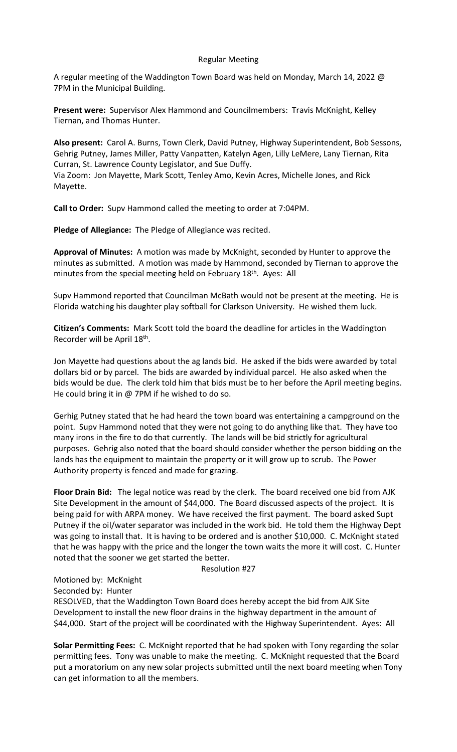## Regular Meeting

A regular meeting of the Waddington Town Board was held on Monday, March 14, 2022 @ 7PM in the Municipal Building.

Present were: Supervisor Alex Hammond and Councilmembers: Travis McKnight, Kelley Tiernan, and Thomas Hunter.

Also present: Carol A. Burns, Town Clerk, David Putney, Highway Superintendent, Bob Sessons, Gehrig Putney, James Miller, Patty Vanpatten, Katelyn Agen, Lilly LeMere, Lany Tiernan, Rita Curran, St. Lawrence County Legislator, and Sue Duffy.

Via Zoom: Jon Mayette, Mark Scott, Tenley Amo, Kevin Acres, Michelle Jones, and Rick Mayette.

Call to Order: Supv Hammond called the meeting to order at 7:04PM.

Pledge of Allegiance: The Pledge of Allegiance was recited.

Approval of Minutes: A motion was made by McKnight, seconded by Hunter to approve the minutes as submitted. A motion was made by Hammond, seconded by Tiernan to approve the minutes from the special meeting held on February 18<sup>th</sup>. Ayes: All

Supv Hammond reported that Councilman McBath would not be present at the meeting. He is Florida watching his daughter play softball for Clarkson University. He wished them luck.

Citizen's Comments: Mark Scott told the board the deadline for articles in the Waddington Recorder will be April 18<sup>th</sup>.

Jon Mayette had questions about the ag lands bid. He asked if the bids were awarded by total dollars bid or by parcel. The bids are awarded by individual parcel. He also asked when the bids would be due. The clerk told him that bids must be to her before the April meeting begins. He could bring it in @ 7PM if he wished to do so.

Gerhig Putney stated that he had heard the town board was entertaining a campground on the point. Supv Hammond noted that they were not going to do anything like that. They have too many irons in the fire to do that currently. The lands will be bid strictly for agricultural purposes. Gehrig also noted that the board should consider whether the person bidding on the lands has the equipment to maintain the property or it will grow up to scrub. The Power Authority property is fenced and made for grazing.

Floor Drain Bid: The legal notice was read by the clerk. The board received one bid from AJK Site Development in the amount of \$44,000. The Board discussed aspects of the project. It is being paid for with ARPA money. We have received the first payment. The board asked Supt Putney if the oil/water separator was included in the work bid. He told them the Highway Dept was going to install that. It is having to be ordered and is another \$10,000. C. McKnight stated that he was happy with the price and the longer the town waits the more it will cost. C. Hunter noted that the sooner we get started the better.

#### Resolution #27

Motioned by: McKnight

Seconded by: Hunter

RESOLVED, that the Waddington Town Board does hereby accept the bid from AJK Site Development to install the new floor drains in the highway department in the amount of \$44,000. Start of the project will be coordinated with the Highway Superintendent. Ayes: All

Solar Permitting Fees: C. McKnight reported that he had spoken with Tony regarding the solar permitting fees. Tony was unable to make the meeting. C. McKnight requested that the Board put a moratorium on any new solar projects submitted until the next board meeting when Tony can get information to all the members.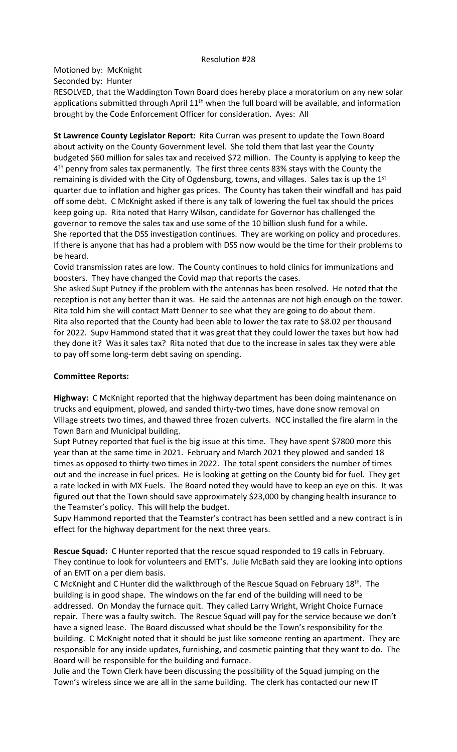### Resolution #28

Motioned by: McKnight

Seconded by: Hunter

RESOLVED, that the Waddington Town Board does hereby place a moratorium on any new solar applications submitted through April  $11<sup>th</sup>$  when the full board will be available, and information brought by the Code Enforcement Officer for consideration. Ayes: All

St Lawrence County Legislator Report: Rita Curran was present to update the Town Board about activity on the County Government level. She told them that last year the County budgeted \$60 million for sales tax and received \$72 million. The County is applying to keep the 4<sup>th</sup> penny from sales tax permanently. The first three cents 83% stays with the County the remaining is divided with the City of Ogdensburg, towns, and villages. Sales tax is up the 1<sup>st</sup> quarter due to inflation and higher gas prices. The County has taken their windfall and has paid off some debt. C McKnight asked if there is any talk of lowering the fuel tax should the prices keep going up. Rita noted that Harry Wilson, candidate for Governor has challenged the governor to remove the sales tax and use some of the 10 billion slush fund for a while. She reported that the DSS investigation continues. They are working on policy and procedures. If there is anyone that has had a problem with DSS now would be the time for their problems to be heard.

Covid transmission rates are low. The County continues to hold clinics for immunizations and boosters. They have changed the Covid map that reports the cases.

She asked Supt Putney if the problem with the antennas has been resolved. He noted that the reception is not any better than it was. He said the antennas are not high enough on the tower. Rita told him she will contact Matt Denner to see what they are going to do about them. Rita also reported that the County had been able to lower the tax rate to \$8.02 per thousand for 2022. Supv Hammond stated that it was great that they could lower the taxes but how had they done it? Was it sales tax? Rita noted that due to the increase in sales tax they were able to pay off some long-term debt saving on spending.

# Committee Reports:

Highway: C McKnight reported that the highway department has been doing maintenance on trucks and equipment, plowed, and sanded thirty-two times, have done snow removal on Village streets two times, and thawed three frozen culverts. NCC installed the fire alarm in the Town Barn and Municipal building.

Supt Putney reported that fuel is the big issue at this time. They have spent \$7800 more this year than at the same time in 2021. February and March 2021 they plowed and sanded 18 times as opposed to thirty-two times in 2022. The total spent considers the number of times out and the increase in fuel prices. He is looking at getting on the County bid for fuel. They get a rate locked in with MX Fuels. The Board noted they would have to keep an eye on this. It was figured out that the Town should save approximately \$23,000 by changing health insurance to the Teamster's policy. This will help the budget.

Supv Hammond reported that the Teamster's contract has been settled and a new contract is in effect for the highway department for the next three years.

Rescue Squad: C Hunter reported that the rescue squad responded to 19 calls in February. They continue to look for volunteers and EMT's. Julie McBath said they are looking into options of an EMT on a per diem basis.

C McKnight and C Hunter did the walkthrough of the Rescue Squad on February  $18<sup>th</sup>$ . The building is in good shape. The windows on the far end of the building will need to be addressed. On Monday the furnace quit. They called Larry Wright, Wright Choice Furnace repair. There was a faulty switch. The Rescue Squad will pay for the service because we don't have a signed lease. The Board discussed what should be the Town's responsibility for the building. C McKnight noted that it should be just like someone renting an apartment. They are responsible for any inside updates, furnishing, and cosmetic painting that they want to do. The Board will be responsible for the building and furnace.

Julie and the Town Clerk have been discussing the possibility of the Squad jumping on the Town's wireless since we are all in the same building. The clerk has contacted our new IT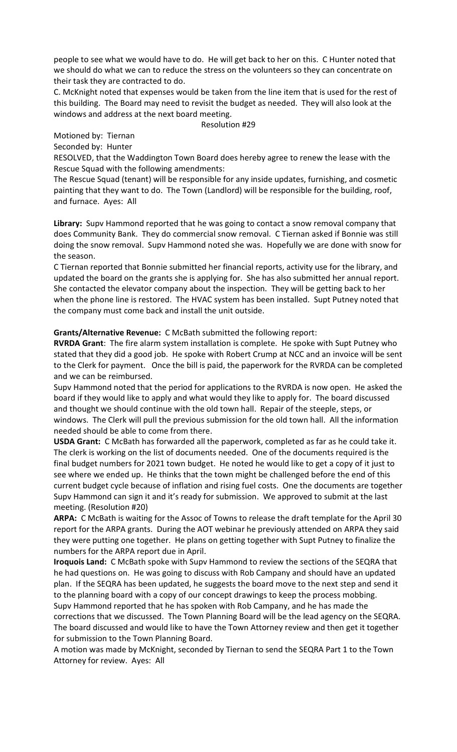people to see what we would have to do. He will get back to her on this. C Hunter noted that we should do what we can to reduce the stress on the volunteers so they can concentrate on their task they are contracted to do.

C. McKnight noted that expenses would be taken from the line item that is used for the rest of this building. The Board may need to revisit the budget as needed. They will also look at the windows and address at the next board meeting.

Resolution #29

Motioned by: Tiernan

Seconded by: Hunter

RESOLVED, that the Waddington Town Board does hereby agree to renew the lease with the Rescue Squad with the following amendments:

The Rescue Squad (tenant) will be responsible for any inside updates, furnishing, and cosmetic painting that they want to do. The Town (Landlord) will be responsible for the building, roof, and furnace. Ayes: All

Library: Supv Hammond reported that he was going to contact a snow removal company that does Community Bank. They do commercial snow removal. C Tiernan asked if Bonnie was still doing the snow removal. Supv Hammond noted she was. Hopefully we are done with snow for the season.

C Tiernan reported that Bonnie submitted her financial reports, activity use for the library, and updated the board on the grants she is applying for. She has also submitted her annual report. She contacted the elevator company about the inspection. They will be getting back to her when the phone line is restored. The HVAC system has been installed. Supt Putney noted that the company must come back and install the unit outside.

Grants/Alternative Revenue: C McBath submitted the following report:

RVRDA Grant: The fire alarm system installation is complete. He spoke with Supt Putney who stated that they did a good job. He spoke with Robert Crump at NCC and an invoice will be sent to the Clerk for payment. Once the bill is paid, the paperwork for the RVRDA can be completed and we can be reimbursed.

Supv Hammond noted that the period for applications to the RVRDA is now open. He asked the board if they would like to apply and what would they like to apply for. The board discussed and thought we should continue with the old town hall. Repair of the steeple, steps, or windows. The Clerk will pull the previous submission for the old town hall. All the information needed should be able to come from there.

USDA Grant: C McBath has forwarded all the paperwork, completed as far as he could take it. The clerk is working on the list of documents needed. One of the documents required is the final budget numbers for 2021 town budget. He noted he would like to get a copy of it just to see where we ended up. He thinks that the town might be challenged before the end of this current budget cycle because of inflation and rising fuel costs. One the documents are together Supv Hammond can sign it and it's ready for submission. We approved to submit at the last meeting. (Resolution #20)

ARPA: C McBath is waiting for the Assoc of Towns to release the draft template for the April 30 report for the ARPA grants. During the AOT webinar he previously attended on ARPA they said they were putting one together. He plans on getting together with Supt Putney to finalize the numbers for the ARPA report due in April.

Iroquois Land: C McBath spoke with Supv Hammond to review the sections of the SEQRA that he had questions on. He was going to discuss with Rob Campany and should have an updated plan. If the SEQRA has been updated, he suggests the board move to the next step and send it to the planning board with a copy of our concept drawings to keep the process mobbing. Supv Hammond reported that he has spoken with Rob Campany, and he has made the corrections that we discussed. The Town Planning Board will be the lead agency on the SEQRA. The board discussed and would like to have the Town Attorney review and then get it together for submission to the Town Planning Board.

A motion was made by McKnight, seconded by Tiernan to send the SEQRA Part 1 to the Town Attorney for review. Ayes: All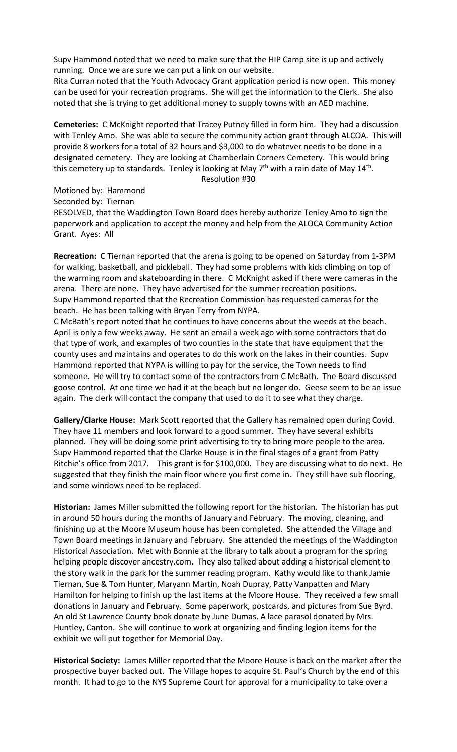Supv Hammond noted that we need to make sure that the HIP Camp site is up and actively running. Once we are sure we can put a link on our website.

Rita Curran noted that the Youth Advocacy Grant application period is now open. This money can be used for your recreation programs. She will get the information to the Clerk. She also noted that she is trying to get additional money to supply towns with an AED machine.

Cemeteries: C McKnight reported that Tracey Putney filled in form him. They had a discussion with Tenley Amo. She was able to secure the community action grant through ALCOA. This will provide 8 workers for a total of 32 hours and \$3,000 to do whatever needs to be done in a designated cemetery. They are looking at Chamberlain Corners Cemetery. This would bring this cemetery up to standards. Tenley is looking at May 7<sup>th</sup> with a rain date of May 14<sup>th</sup>. Resolution #30

Motioned by: Hammond

Seconded by: Tiernan

RESOLVED, that the Waddington Town Board does hereby authorize Tenley Amo to sign the paperwork and application to accept the money and help from the ALOCA Community Action Grant. Ayes: All

Recreation: C Tiernan reported that the arena is going to be opened on Saturday from 1-3PM for walking, basketball, and pickleball. They had some problems with kids climbing on top of the warming room and skateboarding in there. C McKnight asked if there were cameras in the arena. There are none. They have advertised for the summer recreation positions. Supv Hammond reported that the Recreation Commission has requested cameras for the beach. He has been talking with Bryan Terry from NYPA.

C McBath's report noted that he continues to have concerns about the weeds at the beach. April is only a few weeks away. He sent an email a week ago with some contractors that do that type of work, and examples of two counties in the state that have equipment that the county uses and maintains and operates to do this work on the lakes in their counties. Supv Hammond reported that NYPA is willing to pay for the service, the Town needs to find someone. He will try to contact some of the contractors from C McBath. The Board discussed goose control. At one time we had it at the beach but no longer do. Geese seem to be an issue again. The clerk will contact the company that used to do it to see what they charge.

Gallery/Clarke House: Mark Scott reported that the Gallery has remained open during Covid. They have 11 members and look forward to a good summer. They have several exhibits planned. They will be doing some print advertising to try to bring more people to the area. Supv Hammond reported that the Clarke House is in the final stages of a grant from Patty Ritchie's office from 2017. This grant is for \$100,000. They are discussing what to do next. He suggested that they finish the main floor where you first come in. They still have sub flooring, and some windows need to be replaced.

Historian: James Miller submitted the following report for the historian. The historian has put in around 50 hours during the months of January and February. The moving, cleaning, and finishing up at the Moore Museum house has been completed. She attended the Village and Town Board meetings in January and February. She attended the meetings of the Waddington Historical Association. Met with Bonnie at the library to talk about a program for the spring helping people discover ancestry.com. They also talked about adding a historical element to the story walk in the park for the summer reading program. Kathy would like to thank Jamie Tiernan, Sue & Tom Hunter, Maryann Martin, Noah Dupray, Patty Vanpatten and Mary Hamilton for helping to finish up the last items at the Moore House. They received a few small donations in January and February. Some paperwork, postcards, and pictures from Sue Byrd. An old St Lawrence County book donate by June Dumas. A lace parasol donated by Mrs. Huntley, Canton. She will continue to work at organizing and finding legion items for the exhibit we will put together for Memorial Day.

Historical Society: James Miller reported that the Moore House is back on the market after the prospective buyer backed out. The Village hopes to acquire St. Paul's Church by the end of this month. It had to go to the NYS Supreme Court for approval for a municipality to take over a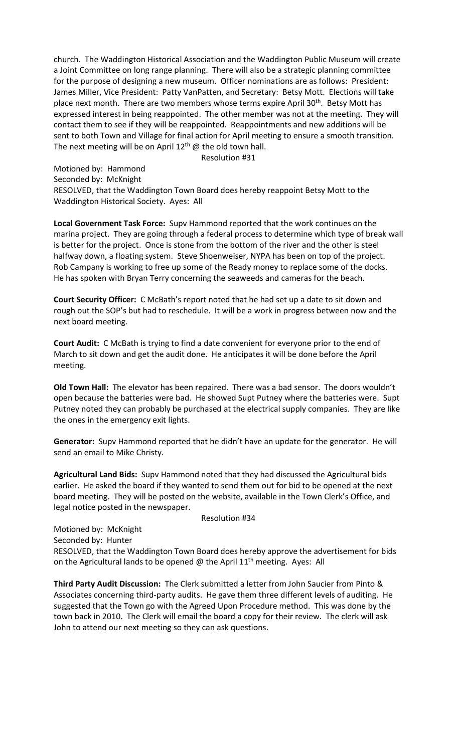church. The Waddington Historical Association and the Waddington Public Museum will create a Joint Committee on long range planning. There will also be a strategic planning committee for the purpose of designing a new museum. Officer nominations are as follows: President: James Miller, Vice President: Patty VanPatten, and Secretary: Betsy Mott. Elections will take place next month. There are two members whose terms expire April 30<sup>th</sup>. Betsy Mott has expressed interest in being reappointed. The other member was not at the meeting. They will contact them to see if they will be reappointed. Reappointments and new additions will be sent to both Town and Village for final action for April meeting to ensure a smooth transition. The next meeting will be on April  $12<sup>th</sup>$  @ the old town hall.

Resolution #31

Motioned by: Hammond

Seconded by: McKnight

RESOLVED, that the Waddington Town Board does hereby reappoint Betsy Mott to the Waddington Historical Society. Ayes: All

Local Government Task Force: Supv Hammond reported that the work continues on the marina project. They are going through a federal process to determine which type of break wall is better for the project. Once is stone from the bottom of the river and the other is steel halfway down, a floating system. Steve Shoenweiser, NYPA has been on top of the project. Rob Campany is working to free up some of the Ready money to replace some of the docks. He has spoken with Bryan Terry concerning the seaweeds and cameras for the beach.

Court Security Officer: C McBath's report noted that he had set up a date to sit down and rough out the SOP's but had to reschedule. It will be a work in progress between now and the next board meeting.

Court Audit: C McBath is trying to find a date convenient for everyone prior to the end of March to sit down and get the audit done. He anticipates it will be done before the April meeting.

Old Town Hall: The elevator has been repaired. There was a bad sensor. The doors wouldn't open because the batteries were bad. He showed Supt Putney where the batteries were. Supt Putney noted they can probably be purchased at the electrical supply companies. They are like the ones in the emergency exit lights.

Generator: Supv Hammond reported that he didn't have an update for the generator. He will send an email to Mike Christy.

Agricultural Land Bids: Supv Hammond noted that they had discussed the Agricultural bids earlier. He asked the board if they wanted to send them out for bid to be opened at the next board meeting. They will be posted on the website, available in the Town Clerk's Office, and legal notice posted in the newspaper.

#### Resolution #34

Motioned by: McKnight Seconded by: Hunter RESOLVED, that the Waddington Town Board does hereby approve the advertisement for bids on the Agricultural lands to be opened  $\omega$  the April 11<sup>th</sup> meeting. Ayes: All

Third Party Audit Discussion: The Clerk submitted a letter from John Saucier from Pinto & Associates concerning third-party audits. He gave them three different levels of auditing. He suggested that the Town go with the Agreed Upon Procedure method. This was done by the town back in 2010. The Clerk will email the board a copy for their review. The clerk will ask John to attend our next meeting so they can ask questions.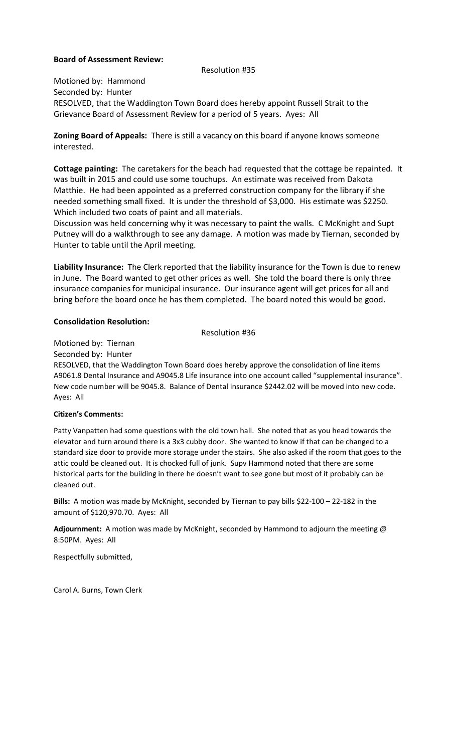## Board of Assessment Review:

#### Resolution #35

Motioned by: Hammond Seconded by: Hunter RESOLVED, that the Waddington Town Board does hereby appoint Russell Strait to the Grievance Board of Assessment Review for a period of 5 years. Ayes: All

Zoning Board of Appeals: There is still a vacancy on this board if anyone knows someone interested.

Cottage painting: The caretakers for the beach had requested that the cottage be repainted. It was built in 2015 and could use some touchups. An estimate was received from Dakota Matthie. He had been appointed as a preferred construction company for the library if she needed something small fixed. It is under the threshold of \$3,000. His estimate was \$2250. Which included two coats of paint and all materials.

Discussion was held concerning why it was necessary to paint the walls. C McKnight and Supt Putney will do a walkthrough to see any damage. A motion was made by Tiernan, seconded by Hunter to table until the April meeting.

Liability Insurance: The Clerk reported that the liability insurance for the Town is due to renew in June. The Board wanted to get other prices as well. She told the board there is only three insurance companies for municipal insurance. Our insurance agent will get prices for all and bring before the board once he has them completed. The board noted this would be good.

#### Consolidation Resolution:

Resolution #36

Motioned by: Tiernan Seconded by: Hunter

RESOLVED, that the Waddington Town Board does hereby approve the consolidation of line items A9061.8 Dental Insurance and A9045.8 Life insurance into one account called "supplemental insurance". New code number will be 9045.8. Balance of Dental insurance \$2442.02 will be moved into new code. Ayes: All

# Citizen's Comments:

Patty Vanpatten had some questions with the old town hall. She noted that as you head towards the elevator and turn around there is a 3x3 cubby door. She wanted to know if that can be changed to a standard size door to provide more storage under the stairs. She also asked if the room that goes to the attic could be cleaned out. It is chocked full of junk. Supv Hammond noted that there are some historical parts for the building in there he doesn't want to see gone but most of it probably can be cleaned out.

Bills: A motion was made by McKnight, seconded by Tiernan to pay bills \$22-100 – 22-182 in the amount of \$120,970.70. Ayes: All

Adjournment: A motion was made by McKnight, seconded by Hammond to adjourn the meeting @ 8:50PM. Ayes: All

Respectfully submitted,

Carol A. Burns, Town Clerk